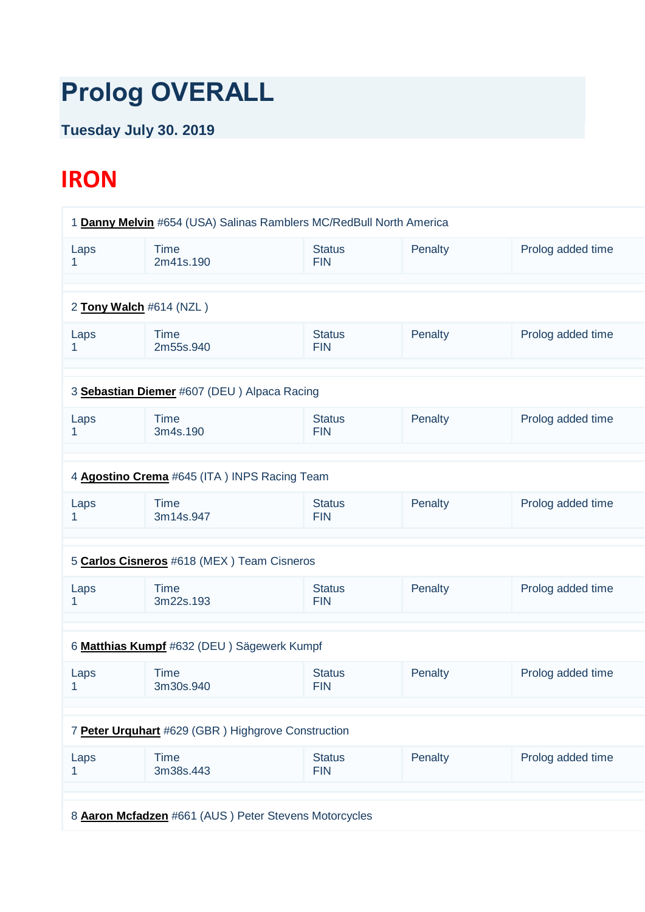## **Prolog OVERALL**

## **Tuesday July 30. 2019**

## **IRON**

| 1 Danny Melvin #654 (USA) Salinas Ramblers MC/RedBull North America |                                                    |                             |         |                   |  |  |
|---------------------------------------------------------------------|----------------------------------------------------|-----------------------------|---------|-------------------|--|--|
| Laps<br>1.                                                          | <b>Time</b><br>2m41s.190                           | <b>Status</b><br><b>FIN</b> | Penalty | Prolog added time |  |  |
|                                                                     |                                                    |                             |         |                   |  |  |
|                                                                     | 2 Tony Walch #614 (NZL)                            |                             |         |                   |  |  |
| Laps<br>1                                                           | <b>Time</b><br>2m55s.940                           | <b>Status</b><br><b>FIN</b> | Penalty | Prolog added time |  |  |
|                                                                     |                                                    |                             |         |                   |  |  |
|                                                                     | 3 Sebastian Diemer #607 (DEU) Alpaca Racing        |                             |         |                   |  |  |
| Laps<br>1                                                           | <b>Time</b><br>3m4s.190                            | <b>Status</b><br><b>FIN</b> | Penalty | Prolog added time |  |  |
|                                                                     |                                                    |                             |         |                   |  |  |
|                                                                     | 4 Agostino Crema #645 (ITA) INPS Racing Team       |                             |         |                   |  |  |
| Laps<br>1                                                           | <b>Time</b><br>3m14s.947                           | <b>Status</b><br><b>FIN</b> | Penalty | Prolog added time |  |  |
|                                                                     |                                                    |                             |         |                   |  |  |
|                                                                     | 5 Carlos Cisneros #618 (MEX) Team Cisneros         |                             |         |                   |  |  |
| Laps<br>1                                                           | <b>Time</b><br>3m22s.193                           | <b>Status</b><br><b>FIN</b> | Penalty | Prolog added time |  |  |
|                                                                     |                                                    |                             |         |                   |  |  |
|                                                                     | 6 Matthias Kumpf #632 (DEU) Sägewerk Kumpf         |                             |         |                   |  |  |
| Laps<br>1                                                           | <b>Time</b><br>3m30s.940                           | <b>Status</b><br><b>FIN</b> | Penalty | Prolog added time |  |  |
|                                                                     |                                                    |                             |         |                   |  |  |
|                                                                     | 7 Peter Urquhart #629 (GBR) Highgrove Construction |                             |         |                   |  |  |
| Laps<br>1                                                           | <b>Time</b><br>3m38s.443                           | <b>Status</b><br><b>FIN</b> | Penalty | Prolog added time |  |  |
|                                                                     |                                                    |                             |         |                   |  |  |
|                                                                     |                                                    |                             |         |                   |  |  |
| 8 Aaron Mcfadzen #661 (AUS) Peter Stevens Motorcycles               |                                                    |                             |         |                   |  |  |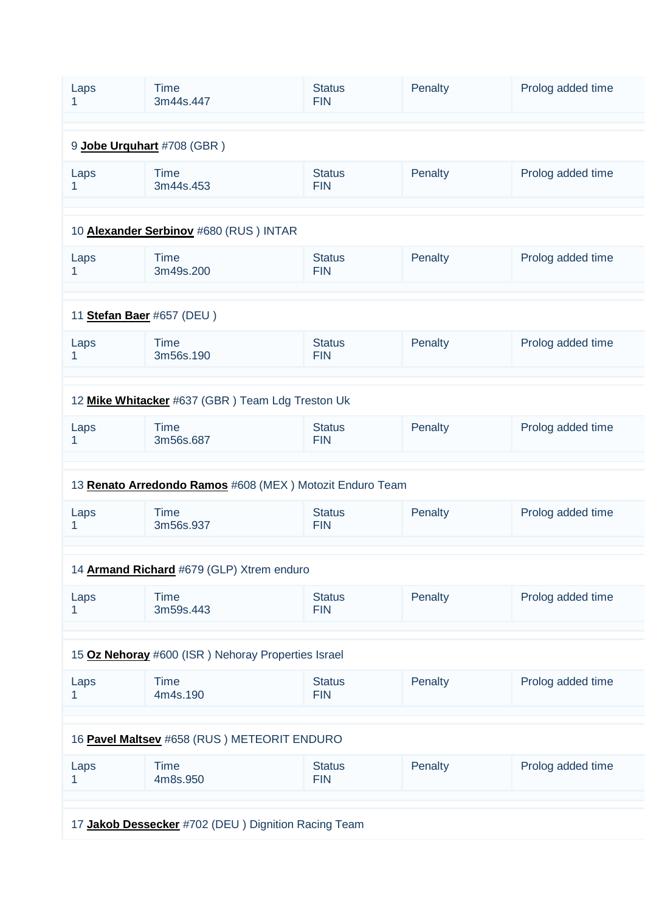| Laps<br>1                                           | <b>Time</b><br>3m44s.447                                 | <b>Status</b><br><b>FIN</b> | Penalty | Prolog added time |  |
|-----------------------------------------------------|----------------------------------------------------------|-----------------------------|---------|-------------------|--|
|                                                     |                                                          |                             |         |                   |  |
| 9 Jobe Urguhart #708 (GBR)                          |                                                          |                             |         |                   |  |
| Laps<br>1                                           | <b>Time</b><br>3m44s.453                                 | <b>Status</b><br><b>FIN</b> | Penalty | Prolog added time |  |
|                                                     |                                                          |                             |         |                   |  |
|                                                     | 10 Alexander Serbinov #680 (RUS) INTAR                   |                             |         |                   |  |
| Laps<br>1                                           | <b>Time</b><br>3m49s.200                                 | <b>Status</b><br><b>FIN</b> | Penalty | Prolog added time |  |
|                                                     |                                                          |                             |         |                   |  |
| 11 Stefan Baer #657 (DEU)                           |                                                          |                             |         |                   |  |
| Laps<br>1                                           | <b>Time</b><br>3m56s.190                                 | <b>Status</b><br><b>FIN</b> | Penalty | Prolog added time |  |
|                                                     |                                                          |                             |         |                   |  |
|                                                     | 12 Mike Whitacker #637 (GBR) Team Ldg Treston Uk         |                             |         |                   |  |
| Laps<br>1                                           | <b>Time</b><br>3m56s.687                                 | <b>Status</b><br><b>FIN</b> | Penalty | Prolog added time |  |
|                                                     |                                                          |                             |         |                   |  |
|                                                     | 13 Renato Arredondo Ramos #608 (MEX) Motozit Enduro Team |                             |         |                   |  |
| Laps<br>1                                           | <b>Time</b><br>3m56s.937                                 | <b>Status</b><br><b>FIN</b> | Penalty | Prolog added time |  |
|                                                     |                                                          |                             |         |                   |  |
|                                                     | 14 Armand Richard #679 (GLP) Xtrem enduro                |                             |         |                   |  |
| Laps<br>1.                                          | <b>Time</b><br>3m59s.443                                 | <b>Status</b><br><b>FIN</b> | Penalty | Prolog added time |  |
|                                                     |                                                          |                             |         |                   |  |
| 15 Oz Nehoray #600 (ISR) Nehoray Properties Israel  |                                                          |                             |         |                   |  |
| Laps<br>1                                           | <b>Time</b><br>4m4s.190                                  | <b>Status</b><br><b>FIN</b> | Penalty | Prolog added time |  |
|                                                     |                                                          |                             |         |                   |  |
|                                                     |                                                          |                             |         |                   |  |
|                                                     | 16 Pavel Maltsev #658 (RUS) METEORIT ENDURO              |                             |         |                   |  |
| Laps<br>1                                           | <b>Time</b><br>4m8s.950                                  | <b>Status</b><br><b>FIN</b> | Penalty | Prolog added time |  |
|                                                     |                                                          |                             |         |                   |  |
| 17 Jakob Dessecker #702 (DEU) Dignition Racing Team |                                                          |                             |         |                   |  |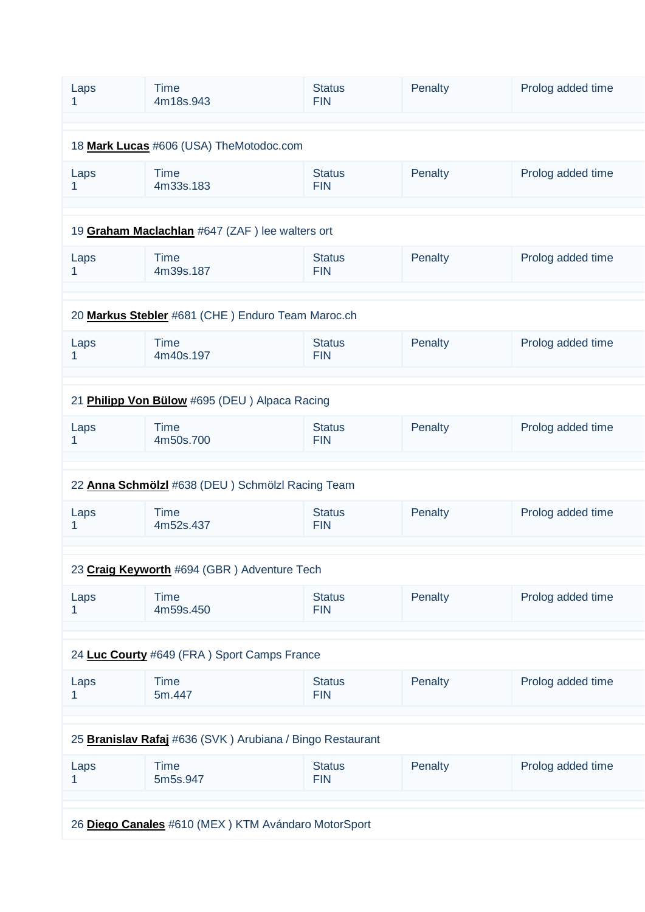| Laps<br>1                                           | <b>Time</b><br>4m18s.943                                  | <b>Status</b><br><b>FIN</b> | Penalty | Prolog added time |  |
|-----------------------------------------------------|-----------------------------------------------------------|-----------------------------|---------|-------------------|--|
|                                                     |                                                           |                             |         |                   |  |
| 18 Mark Lucas #606 (USA) TheMotodoc.com             |                                                           |                             |         |                   |  |
| Laps<br>1                                           | <b>Time</b><br>4m33s.183                                  | <b>Status</b><br><b>FIN</b> | Penalty | Prolog added time |  |
|                                                     |                                                           |                             |         |                   |  |
|                                                     | 19 Graham Maclachlan #647 (ZAF) lee walters ort           |                             |         |                   |  |
| Laps<br>1                                           | <b>Time</b><br>4m39s.187                                  | <b>Status</b><br><b>FIN</b> | Penalty | Prolog added time |  |
|                                                     |                                                           |                             |         |                   |  |
| 20 Markus Stebler #681 (CHE) Enduro Team Maroc.ch   |                                                           |                             |         |                   |  |
| Laps<br>1.                                          | <b>Time</b><br>4m40s.197                                  | <b>Status</b><br><b>FIN</b> | Penalty | Prolog added time |  |
|                                                     |                                                           |                             |         |                   |  |
|                                                     | 21 Philipp Von Bülow #695 (DEU) Alpaca Racing             |                             |         |                   |  |
| Laps<br>1                                           | <b>Time</b><br>4m50s.700                                  | <b>Status</b><br><b>FIN</b> | Penalty | Prolog added time |  |
|                                                     |                                                           |                             |         |                   |  |
|                                                     | 22 Anna Schmölzl #638 (DEU) Schmölzl Racing Team          |                             |         |                   |  |
| Laps<br>1                                           | <b>Time</b><br>4m52s.437                                  | <b>Status</b><br><b>FIN</b> | Penalty | Prolog added time |  |
|                                                     |                                                           |                             |         |                   |  |
|                                                     | 23 Craig Keyworth #694 (GBR) Adventure Tech               |                             |         |                   |  |
| Laps                                                | <b>Time</b><br>4m59s.450                                  | <b>Status</b><br><b>FIN</b> | Penalty | Prolog added time |  |
|                                                     |                                                           |                             |         |                   |  |
|                                                     | 24 Luc Courty #649 (FRA) Sport Camps France               |                             |         |                   |  |
| Laps                                                | <b>Time</b><br>5m.447                                     | <b>Status</b><br><b>FIN</b> | Penalty | Prolog added time |  |
|                                                     |                                                           |                             |         |                   |  |
|                                                     | 25 Branislav Rafaj #636 (SVK) Arubiana / Bingo Restaurant |                             |         |                   |  |
| Laps                                                | <b>Time</b><br>5m5s.947                                   | <b>Status</b><br><b>FIN</b> | Penalty | Prolog added time |  |
|                                                     |                                                           |                             |         |                   |  |
| 26 Diego Canales #610 (MEX) KTM Avándaro MotorSport |                                                           |                             |         |                   |  |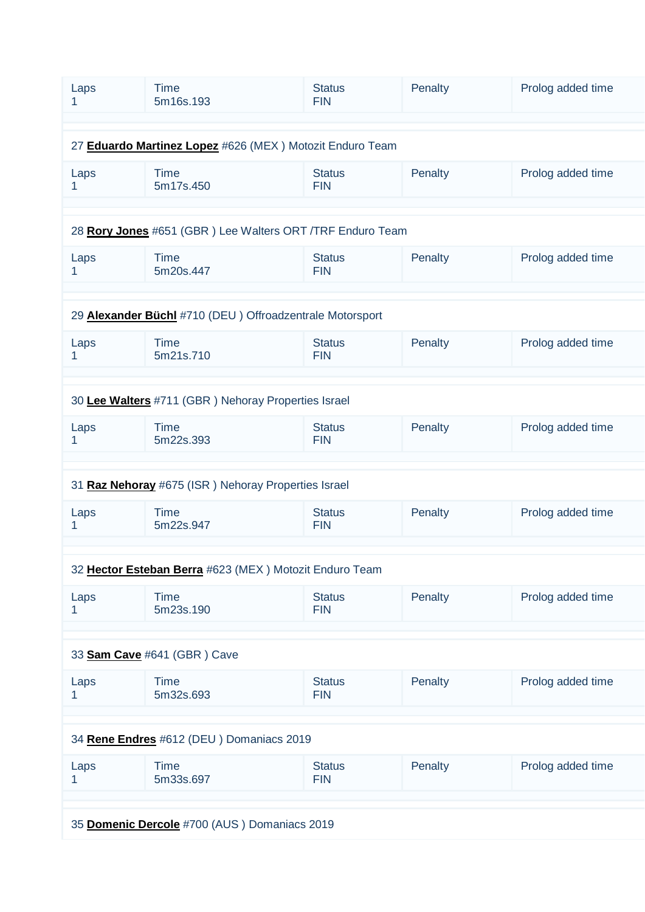| Laps                                                     | <b>Time</b><br>5m16s.193                                  | <b>Status</b><br><b>FIN</b> | Penalty | Prolog added time |  |
|----------------------------------------------------------|-----------------------------------------------------------|-----------------------------|---------|-------------------|--|
|                                                          |                                                           |                             |         |                   |  |
| 27 Eduardo Martinez Lopez #626 (MEX) Motozit Enduro Team |                                                           |                             |         |                   |  |
| Laps<br>1                                                | <b>Time</b><br>5m17s.450                                  | <b>Status</b><br><b>FIN</b> | Penalty | Prolog added time |  |
|                                                          |                                                           |                             |         |                   |  |
|                                                          | 28 Rory Jones #651 (GBR) Lee Walters ORT /TRF Enduro Team |                             |         |                   |  |
| Laps<br>1                                                | <b>Time</b><br>5m20s.447                                  | <b>Status</b><br><b>FIN</b> | Penalty | Prolog added time |  |
|                                                          |                                                           |                             |         |                   |  |
|                                                          | 29 Alexander Büchl #710 (DEU) Offroadzentrale Motorsport  |                             |         |                   |  |
| Laps<br>1                                                | <b>Time</b><br>5m21s.710                                  | <b>Status</b><br><b>FIN</b> | Penalty | Prolog added time |  |
|                                                          |                                                           |                             |         |                   |  |
|                                                          | 30 Lee Walters #711 (GBR) Nehoray Properties Israel       |                             |         |                   |  |
| Laps                                                     | <b>Time</b><br>5m22s.393                                  | <b>Status</b><br><b>FIN</b> | Penalty | Prolog added time |  |
|                                                          |                                                           |                             |         |                   |  |
|                                                          | 31 Raz Nehoray #675 (ISR) Nehoray Properties Israel       |                             |         |                   |  |
| Laps<br>1                                                | <b>Time</b><br>5m22s.947                                  | <b>Status</b><br><b>FIN</b> | Penalty | Prolog added time |  |
|                                                          |                                                           |                             |         |                   |  |
|                                                          | 32 Hector Esteban Berra #623 (MEX) Motozit Enduro Team    |                             |         |                   |  |
| Laps                                                     | <b>Time</b><br>5m23s.190                                  | <b>Status</b><br><b>FIN</b> | Penalty | Prolog added time |  |
|                                                          |                                                           |                             |         |                   |  |
|                                                          | 33 Sam Cave #641 (GBR) Cave                               |                             |         |                   |  |
| Laps<br>1                                                | <b>Time</b><br>5m32s.693                                  | <b>Status</b><br><b>FIN</b> | Penalty | Prolog added time |  |
|                                                          |                                                           |                             |         |                   |  |
|                                                          | 34 Rene Endres #612 (DEU) Domaniacs 2019                  |                             |         |                   |  |
| Laps<br>1                                                | <b>Time</b><br>5m33s.697                                  | <b>Status</b><br><b>FIN</b> | Penalty | Prolog added time |  |
|                                                          |                                                           |                             |         |                   |  |
|                                                          | 35 Domenic Dercole #700 (AUS) Domaniacs 2019              |                             |         |                   |  |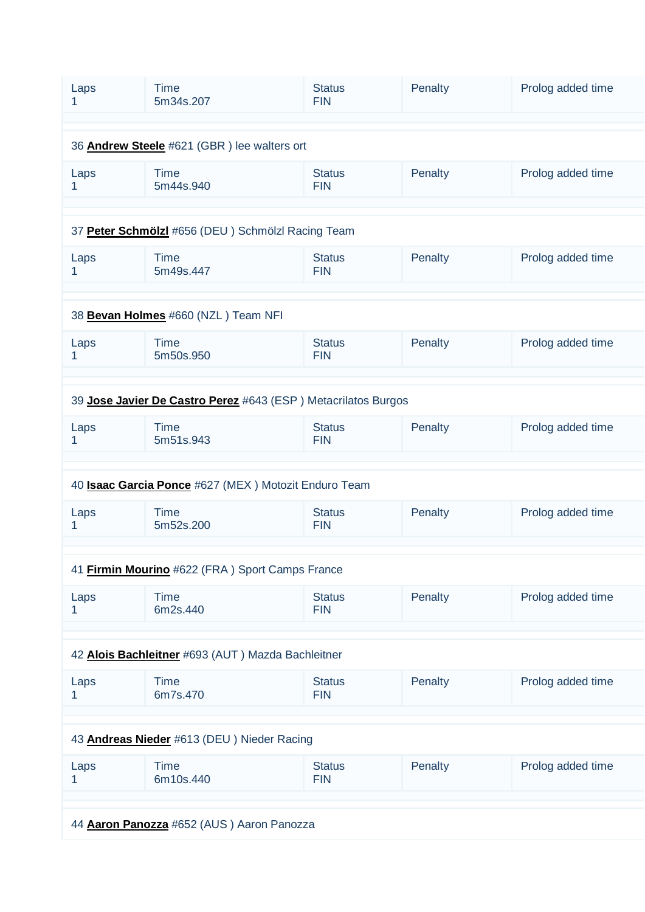| Laps                                              | <b>Time</b><br>5m34s.207                                      | <b>Status</b><br><b>FIN</b> | Penalty | Prolog added time |  |  |
|---------------------------------------------------|---------------------------------------------------------------|-----------------------------|---------|-------------------|--|--|
|                                                   |                                                               |                             |         |                   |  |  |
| 36 Andrew Steele #621 (GBR) lee walters ort       |                                                               |                             |         |                   |  |  |
| Laps<br>1                                         | <b>Time</b><br>5m44s.940                                      | <b>Status</b><br><b>FIN</b> | Penalty | Prolog added time |  |  |
|                                                   |                                                               |                             |         |                   |  |  |
| 37 Peter Schmölzl #656 (DEU) Schmölzl Racing Team |                                                               |                             |         |                   |  |  |
| Laps<br>1                                         | <b>Time</b><br>5m49s.447                                      | <b>Status</b><br><b>FIN</b> | Penalty | Prolog added time |  |  |
|                                                   |                                                               |                             |         |                   |  |  |
| 38 Bevan Holmes #660 (NZL) Team NFI               |                                                               |                             |         |                   |  |  |
| Laps<br>1                                         | <b>Time</b><br>5m50s.950                                      | <b>Status</b><br><b>FIN</b> | Penalty | Prolog added time |  |  |
|                                                   |                                                               |                             |         |                   |  |  |
|                                                   |                                                               |                             |         |                   |  |  |
|                                                   | 39 Jose Javier De Castro Perez #643 (ESP) Metacrilatos Burgos |                             |         |                   |  |  |
| Laps<br>1                                         | <b>Time</b><br>5m51s.943                                      | <b>Status</b><br><b>FIN</b> | Penalty | Prolog added time |  |  |
|                                                   |                                                               |                             |         |                   |  |  |
|                                                   | 40 <b>Isaac Garcia Ponce</b> #627 (MEX) Motozit Enduro Team   |                             |         |                   |  |  |
| Laps<br>1                                         | <b>Time</b><br>5m52s.200                                      | <b>Status</b><br><b>FIN</b> | Penalty | Prolog added time |  |  |
|                                                   |                                                               |                             |         |                   |  |  |
|                                                   | 41 Firmin Mourino #622 (FRA) Sport Camps France               |                             |         |                   |  |  |
| Laps<br>1                                         | <b>Time</b><br>6m2s.440                                       | <b>Status</b><br><b>FIN</b> | Penalty | Prolog added time |  |  |
|                                                   |                                                               |                             |         |                   |  |  |
| 42 Alois Bachleitner #693 (AUT) Mazda Bachleitner |                                                               |                             |         |                   |  |  |
| Laps<br>1                                         | <b>Time</b><br>6m7s.470                                       | <b>Status</b><br><b>FIN</b> | Penalty | Prolog added time |  |  |
|                                                   |                                                               |                             |         |                   |  |  |
|                                                   | 43 Andreas Nieder #613 (DEU) Nieder Racing                    |                             |         |                   |  |  |
| Laps<br>1                                         | <b>Time</b><br>6m10s.440                                      | <b>Status</b><br><b>FIN</b> | Penalty | Prolog added time |  |  |
|                                                   |                                                               |                             |         |                   |  |  |
|                                                   |                                                               |                             |         |                   |  |  |
| 44 Aaron Panozza #652 (AUS) Aaron Panozza         |                                                               |                             |         |                   |  |  |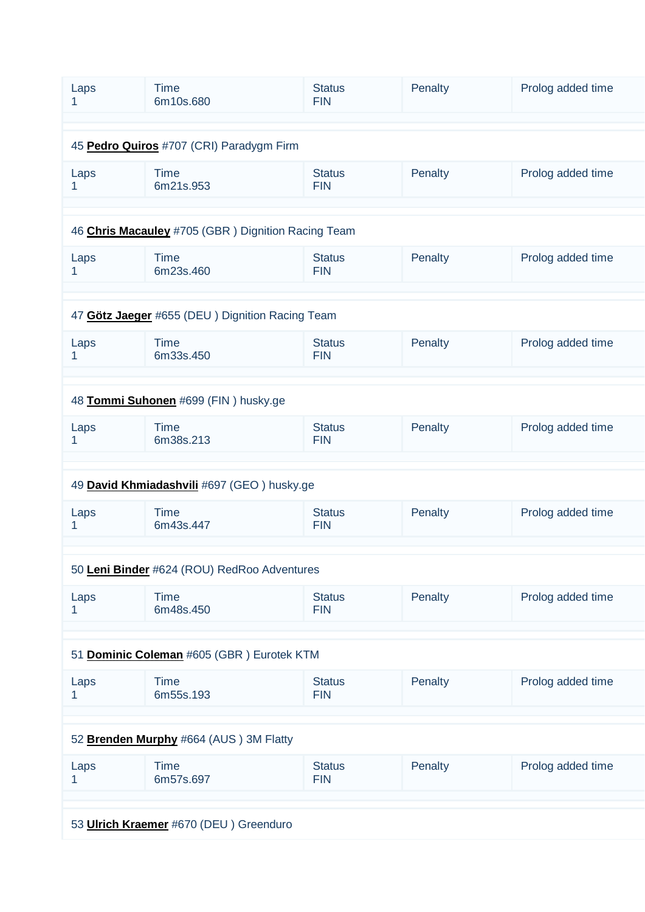| Laps<br>1                                   | <b>Time</b><br>6m10s.680                           | <b>Status</b><br><b>FIN</b> | Penalty | Prolog added time |  |
|---------------------------------------------|----------------------------------------------------|-----------------------------|---------|-------------------|--|
|                                             |                                                    |                             |         |                   |  |
| 45 Pedro Quiros #707 (CRI) Paradygm Firm    |                                                    |                             |         |                   |  |
| Laps<br>1                                   | <b>Time</b><br>6m21s.953                           | <b>Status</b><br><b>FIN</b> | Penalty | Prolog added time |  |
|                                             |                                                    |                             |         |                   |  |
|                                             | 46 Chris Macauley #705 (GBR) Dignition Racing Team |                             |         |                   |  |
| Laps<br>1                                   | <b>Time</b><br>6m23s.460                           | <b>Status</b><br><b>FIN</b> | Penalty | Prolog added time |  |
|                                             |                                                    |                             |         |                   |  |
|                                             | 47 Götz Jaeger #655 (DEU) Dignition Racing Team    |                             |         |                   |  |
| Laps<br>1.                                  | <b>Time</b><br>6m33s.450                           | <b>Status</b><br><b>FIN</b> | Penalty | Prolog added time |  |
|                                             |                                                    |                             |         |                   |  |
|                                             | 48 Tommi Suhonen #699 (FIN) husky.ge               |                             |         |                   |  |
| Laps<br>1                                   | <b>Time</b><br>6m38s.213                           | <b>Status</b><br><b>FIN</b> | Penalty | Prolog added time |  |
|                                             |                                                    |                             |         |                   |  |
|                                             | 49 David Khmiadashvili #697 (GEO) husky.ge         |                             |         |                   |  |
| Laps<br>1                                   | <b>Time</b><br>6m43s.447                           | <b>Status</b><br><b>FIN</b> | Penalty | Prolog added time |  |
|                                             |                                                    |                             |         |                   |  |
| 50 Leni Binder #624 (ROU) RedRoo Adventures |                                                    |                             |         |                   |  |
|                                             |                                                    |                             |         |                   |  |
| Laps                                        | <b>Time</b><br>6m48s.450                           | <b>Status</b><br><b>FIN</b> | Penalty | Prolog added time |  |
|                                             |                                                    |                             |         |                   |  |
|                                             | 51 Dominic Coleman #605 (GBR) Eurotek KTM          |                             |         |                   |  |
| Laps<br>1                                   | <b>Time</b><br>6m55s.193                           | <b>Status</b><br><b>FIN</b> | Penalty | Prolog added time |  |
|                                             |                                                    |                             |         |                   |  |
|                                             | 52 Brenden Murphy #664 (AUS) 3M Flatty             |                             |         |                   |  |
| Laps                                        | <b>Time</b><br>6m57s.697                           | <b>Status</b><br><b>FIN</b> | Penalty | Prolog added time |  |
|                                             |                                                    |                             |         |                   |  |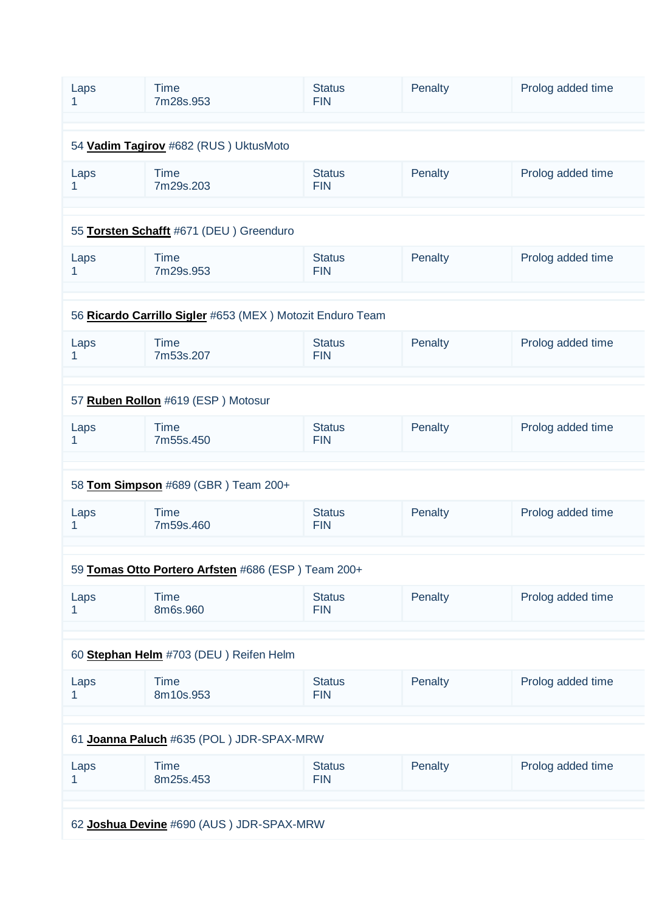| Laps<br>1                             | <b>Time</b><br>7m28s.953                                  | <b>Status</b><br><b>FIN</b>              | Penalty | Prolog added time |  |  |
|---------------------------------------|-----------------------------------------------------------|------------------------------------------|---------|-------------------|--|--|
|                                       |                                                           |                                          |         |                   |  |  |
| 54 Vadim Tagirov #682 (RUS) UktusMoto |                                                           |                                          |         |                   |  |  |
| Laps<br>1                             | <b>Time</b><br>7m29s.203                                  | <b>Status</b><br><b>FIN</b>              | Penalty | Prolog added time |  |  |
|                                       |                                                           |                                          |         |                   |  |  |
|                                       | 55 Torsten Schafft #671 (DEU) Greenduro                   |                                          |         |                   |  |  |
| Laps<br>1                             | <b>Time</b><br>7m29s.953                                  | <b>Status</b><br><b>FIN</b>              | Penalty | Prolog added time |  |  |
|                                       |                                                           |                                          |         |                   |  |  |
|                                       | 56 Ricardo Carrillo Sigler #653 (MEX) Motozit Enduro Team |                                          |         |                   |  |  |
| Laps<br>1                             | <b>Time</b><br>7m53s.207                                  | <b>Status</b><br><b>FIN</b>              | Penalty | Prolog added time |  |  |
|                                       |                                                           |                                          |         |                   |  |  |
|                                       | 57 Ruben Rollon #619 (ESP) Motosur                        |                                          |         |                   |  |  |
| Laps<br>1                             | <b>Time</b><br>7m55s.450                                  | <b>Status</b><br><b>FIN</b>              | Penalty | Prolog added time |  |  |
|                                       |                                                           |                                          |         |                   |  |  |
|                                       | 58 Tom Simpson #689 (GBR) Team 200+                       |                                          |         |                   |  |  |
| Laps<br>1.                            | <b>Time</b><br>7m59s.460                                  | <b>Status</b><br><b>FIN</b>              | Penalty | Prolog added time |  |  |
|                                       |                                                           |                                          |         |                   |  |  |
|                                       | 59 Tomas Otto Portero Arfsten #686 (ESP) Team 200+        |                                          |         |                   |  |  |
| Laps<br>1.                            | <b>Time</b><br>8m6s.960                                   | <b>Status</b><br><b>FIN</b>              | Penalty | Prolog added time |  |  |
|                                       |                                                           |                                          |         |                   |  |  |
|                                       | 60 Stephan Helm #703 (DEU) Reifen Helm                    |                                          |         |                   |  |  |
| Laps<br>1                             | <b>Time</b><br>8m10s.953                                  | <b>Status</b><br><b>FIN</b>              | Penalty | Prolog added time |  |  |
|                                       |                                                           |                                          |         |                   |  |  |
|                                       | 61 Joanna Paluch #635 (POL) JDR-SPAX-MRW                  |                                          |         |                   |  |  |
| Laps<br>1                             | <b>Time</b><br>8m25s.453                                  | <b>Status</b><br><b>FIN</b>              | Penalty | Prolog added time |  |  |
|                                       |                                                           |                                          |         |                   |  |  |
|                                       |                                                           | 62 Joshua Devine #690 (AUS) JDR-SPAX-MRW |         |                   |  |  |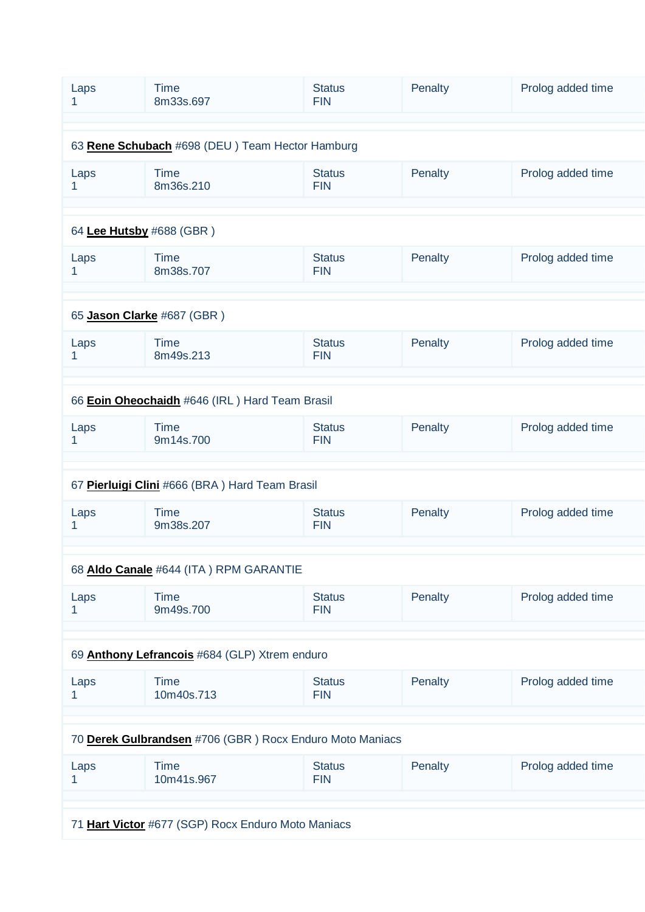| Laps<br>1                                          | <b>Time</b><br>8m33s.697                                 | <b>Status</b><br><b>FIN</b> | Penalty | Prolog added time |  |
|----------------------------------------------------|----------------------------------------------------------|-----------------------------|---------|-------------------|--|
|                                                    |                                                          |                             |         |                   |  |
| 63 Rene Schubach #698 (DEU) Team Hector Hamburg    |                                                          |                             |         |                   |  |
| Laps<br>1                                          | <b>Time</b><br>8m36s.210                                 | <b>Status</b><br><b>FIN</b> | Penalty | Prolog added time |  |
|                                                    |                                                          |                             |         |                   |  |
| 64 Lee Hutsby #688 (GBR)                           |                                                          |                             |         |                   |  |
| Laps<br>1                                          | <b>Time</b><br>8m38s.707                                 | <b>Status</b><br><b>FIN</b> | Penalty | Prolog added time |  |
|                                                    |                                                          |                             |         |                   |  |
| 65 Jason Clarke #687 (GBR)                         |                                                          |                             |         |                   |  |
| Laps<br>1                                          | <b>Time</b><br>8m49s.213                                 | <b>Status</b><br><b>FIN</b> | Penalty | Prolog added time |  |
|                                                    |                                                          |                             |         |                   |  |
|                                                    | 66 Eoin Oheochaidh #646 (IRL) Hard Team Brasil           |                             |         |                   |  |
| Laps<br>1                                          | <b>Time</b><br>9m14s.700                                 | <b>Status</b><br><b>FIN</b> | Penalty | Prolog added time |  |
|                                                    |                                                          |                             |         |                   |  |
|                                                    | 67 Pierluigi Clini #666 (BRA) Hard Team Brasil           |                             |         |                   |  |
| Laps<br>1.                                         | <b>Time</b><br>9m38s.207                                 | <b>Status</b><br><b>FIN</b> | Penalty | Prolog added time |  |
|                                                    |                                                          |                             |         |                   |  |
|                                                    | 68 Aldo Canale #644 (ITA) RPM GARANTIE                   |                             |         |                   |  |
| Laps<br>1.                                         | <b>Time</b><br>9m49s.700                                 | <b>Status</b><br><b>FIN</b> | Penalty | Prolog added time |  |
|                                                    |                                                          |                             |         |                   |  |
|                                                    | 69 Anthony Lefrancois #684 (GLP) Xtrem enduro            |                             |         |                   |  |
| Laps                                               | <b>Time</b><br>10m40s.713                                | <b>Status</b><br><b>FIN</b> | Penalty | Prolog added time |  |
|                                                    |                                                          |                             |         |                   |  |
|                                                    | 70 Derek Gulbrandsen #706 (GBR) Rocx Enduro Moto Maniacs |                             |         |                   |  |
| Laps<br>1                                          | <b>Time</b><br>10m41s.967                                | <b>Status</b><br><b>FIN</b> | Penalty | Prolog added time |  |
|                                                    |                                                          |                             |         |                   |  |
| 71 Hart Victor #677 (SGP) Rocx Enduro Moto Maniacs |                                                          |                             |         |                   |  |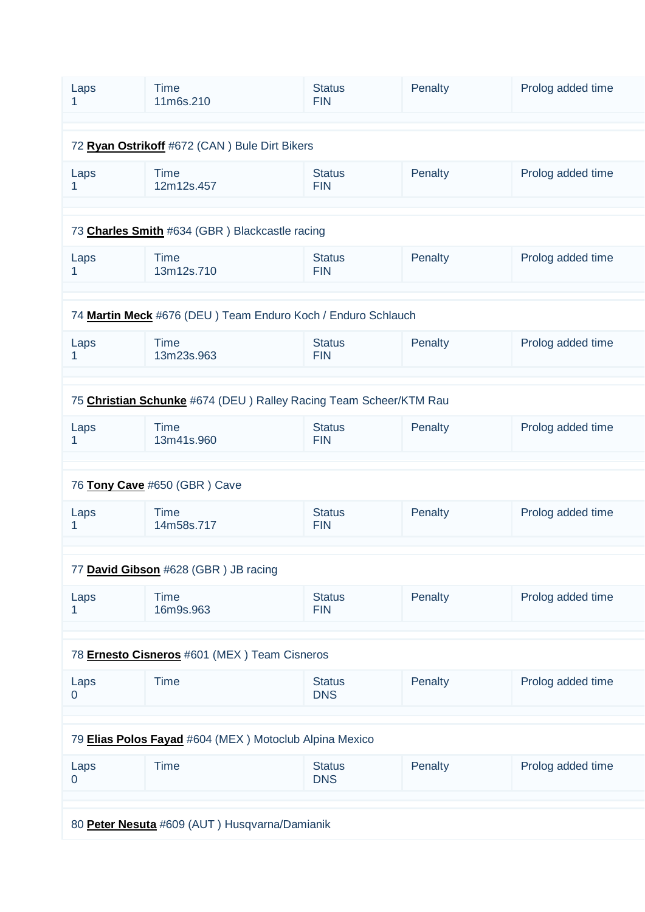| Laps                                          | <b>Time</b><br>11m6s.210                                          | <b>Status</b><br><b>FIN</b> | Penalty | Prolog added time |  |
|-----------------------------------------------|-------------------------------------------------------------------|-----------------------------|---------|-------------------|--|
|                                               |                                                                   |                             |         |                   |  |
|                                               |                                                                   |                             |         |                   |  |
| 72 Ryan Ostrikoff #672 (CAN) Bule Dirt Bikers |                                                                   |                             |         |                   |  |
| Laps<br>1                                     | <b>Time</b><br>12m12s.457                                         | <b>Status</b><br><b>FIN</b> | Penalty | Prolog added time |  |
|                                               |                                                                   |                             |         |                   |  |
|                                               |                                                                   |                             |         |                   |  |
|                                               | 73 Charles Smith #634 (GBR) Blackcastle racing                    |                             |         |                   |  |
| Laps<br>1                                     | <b>Time</b><br>13m12s.710                                         | <b>Status</b><br><b>FIN</b> | Penalty | Prolog added time |  |
|                                               |                                                                   |                             |         |                   |  |
|                                               | 74 Martin Meck #676 (DEU) Team Enduro Koch / Enduro Schlauch      |                             |         |                   |  |
| Laps<br>1                                     | <b>Time</b><br>13m23s.963                                         | <b>Status</b><br><b>FIN</b> | Penalty | Prolog added time |  |
|                                               |                                                                   |                             |         |                   |  |
|                                               |                                                                   |                             |         |                   |  |
|                                               | 75 Christian Schunke #674 (DEU) Ralley Racing Team Scheer/KTM Rau |                             |         |                   |  |
| Laps<br>1                                     | <b>Time</b><br>13m41s.960                                         | <b>Status</b><br><b>FIN</b> | Penalty | Prolog added time |  |
|                                               |                                                                   |                             |         |                   |  |
|                                               | 76 Tony Cave #650 (GBR) Cave                                      |                             |         |                   |  |
| Laps<br>1                                     | <b>Time</b><br>14m58s.717                                         | <b>Status</b><br><b>FIN</b> | Penalty | Prolog added time |  |
|                                               |                                                                   |                             |         |                   |  |
|                                               | 77 David Gibson #628 (GBR) JB racing                              |                             |         |                   |  |
| Laps<br>1                                     | <b>Time</b><br>16m9s.963                                          | <b>Status</b><br><b>FIN</b> | Penalty | Prolog added time |  |
|                                               |                                                                   |                             |         |                   |  |
|                                               |                                                                   |                             |         |                   |  |
| 78 Ernesto Cisneros #601 (MEX) Team Cisneros  |                                                                   |                             |         |                   |  |
| Laps<br>$\mathbf 0$                           | <b>Time</b>                                                       | <b>Status</b><br><b>DNS</b> | Penalty | Prolog added time |  |
|                                               |                                                                   |                             |         |                   |  |
|                                               | 79 Elias Polos Fayad #604 (MEX) Motoclub Alpina Mexico            |                             |         |                   |  |
| Laps<br>$\mathbf 0$                           | <b>Time</b>                                                       | <b>Status</b><br><b>DNS</b> | Penalty | Prolog added time |  |
|                                               |                                                                   |                             |         |                   |  |
|                                               |                                                                   |                             |         |                   |  |
|                                               | 80 Peter Nesuta #609 (AUT) Husqvarna/Damianik                     |                             |         |                   |  |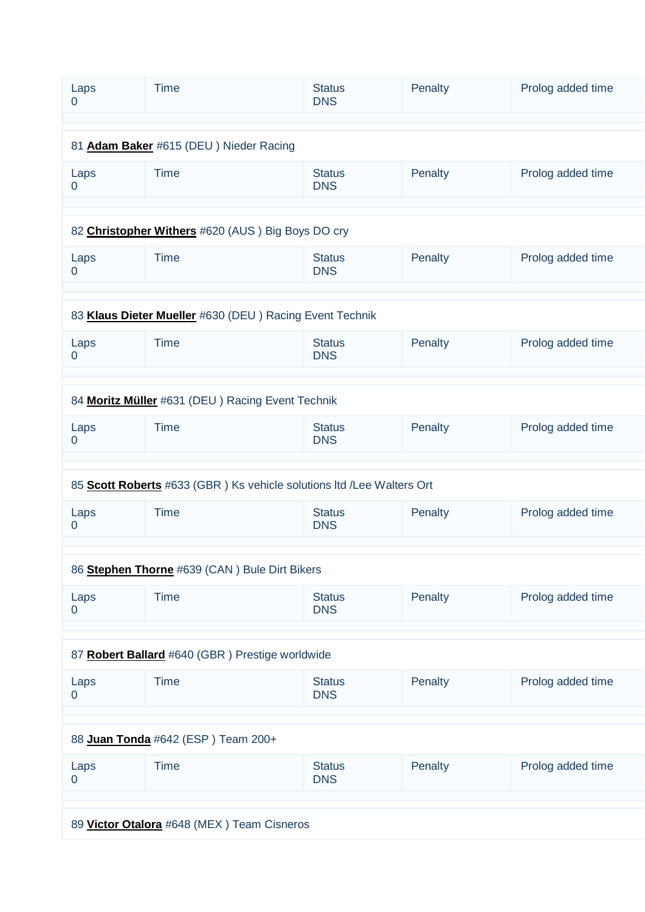| Laps<br>0                              | <b>Time</b>                                                            | <b>Status</b><br><b>DNS</b> | Penalty | Prolog added time |  |
|----------------------------------------|------------------------------------------------------------------------|-----------------------------|---------|-------------------|--|
|                                        |                                                                        |                             |         |                   |  |
| 81 Adam Baker #615 (DEU) Nieder Racing |                                                                        |                             |         |                   |  |
| Laps<br>$\mathbf 0$                    | <b>Time</b>                                                            | <b>Status</b><br><b>DNS</b> | Penalty | Prolog added time |  |
|                                        |                                                                        |                             |         |                   |  |
|                                        | 82 Christopher Withers #620 (AUS) Big Boys DO cry                      |                             |         |                   |  |
| Laps<br>$\overline{0}$                 | <b>Time</b>                                                            | <b>Status</b><br><b>DNS</b> | Penalty | Prolog added time |  |
|                                        |                                                                        |                             |         |                   |  |
|                                        | 83 Klaus Dieter Mueller #630 (DEU) Racing Event Technik                |                             |         |                   |  |
| Laps<br>0                              | <b>Time</b>                                                            | <b>Status</b><br><b>DNS</b> | Penalty | Prolog added time |  |
|                                        |                                                                        |                             |         |                   |  |
|                                        | 84 Moritz Müller #631 (DEU) Racing Event Technik                       |                             |         |                   |  |
| Laps<br>$\overline{0}$                 | <b>Time</b>                                                            | <b>Status</b><br><b>DNS</b> | Penalty | Prolog added time |  |
|                                        |                                                                        |                             |         |                   |  |
|                                        | 85 Scott Roberts #633 (GBR ) Ks vehicle solutions ltd /Lee Walters Ort |                             |         |                   |  |
| Laps<br>0                              | <b>Time</b>                                                            | <b>Status</b><br><b>DNS</b> | Penalty | Prolog added time |  |
|                                        |                                                                        |                             |         |                   |  |
|                                        | 86 Stephen Thorne #639 (CAN) Bule Dirt Bikers                          |                             |         |                   |  |
| Laps<br>$\mathbf 0$                    | <b>Time</b>                                                            | <b>Status</b><br><b>DNS</b> | Penalty | Prolog added time |  |
|                                        |                                                                        |                             |         |                   |  |
|                                        | 87 Robert Ballard #640 (GBR) Prestige worldwide                        |                             |         |                   |  |
| Laps<br>$\overline{0}$                 | <b>Time</b>                                                            | <b>Status</b><br><b>DNS</b> | Penalty | Prolog added time |  |
|                                        |                                                                        |                             |         |                   |  |
| 88 Juan Tonda #642 (ESP) Team 200+     |                                                                        |                             |         |                   |  |
| Laps<br>$\mathbf 0$                    | <b>Time</b>                                                            | <b>Status</b><br><b>DNS</b> | Penalty | Prolog added time |  |
|                                        |                                                                        |                             |         |                   |  |
|                                        | 89 Victor Otalora #648 (MEX) Team Cisneros                             |                             |         |                   |  |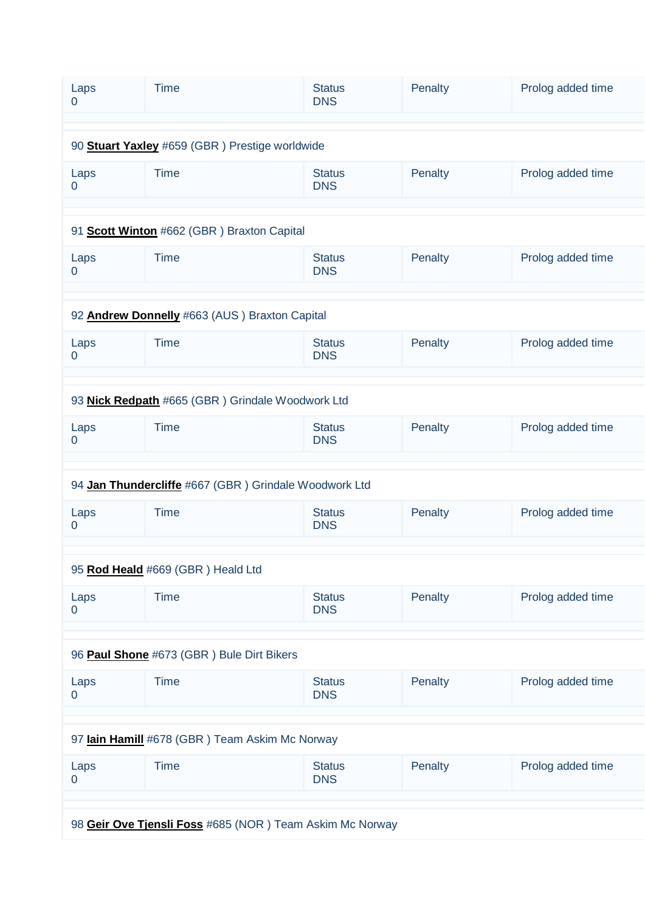| Laps<br>$\Omega$                               | <b>Time</b>                                              | <b>Status</b><br><b>DNS</b> | Penalty | Prolog added time |  |  |
|------------------------------------------------|----------------------------------------------------------|-----------------------------|---------|-------------------|--|--|
|                                                |                                                          |                             |         |                   |  |  |
|                                                | 90 Stuart Yaxley #659 (GBR) Prestige worldwide           |                             |         |                   |  |  |
| Laps<br>$\mathbf 0$                            | <b>Time</b>                                              | <b>Status</b><br><b>DNS</b> | Penalty | Prolog added time |  |  |
|                                                |                                                          |                             |         |                   |  |  |
|                                                | 91 Scott Winton #662 (GBR) Braxton Capital               |                             |         |                   |  |  |
| Laps<br>$\mathbf 0$                            | <b>Time</b>                                              | <b>Status</b><br><b>DNS</b> | Penalty | Prolog added time |  |  |
|                                                |                                                          |                             |         |                   |  |  |
|                                                | 92 Andrew Donnelly #663 (AUS) Braxton Capital            |                             |         |                   |  |  |
| Laps<br>$\mathbf 0$                            | <b>Time</b>                                              | <b>Status</b><br><b>DNS</b> | Penalty | Prolog added time |  |  |
|                                                |                                                          |                             |         |                   |  |  |
|                                                | 93 Nick Redpath #665 (GBR) Grindale Woodwork Ltd         |                             |         |                   |  |  |
| Laps<br>$\overline{0}$                         | <b>Time</b>                                              | <b>Status</b><br><b>DNS</b> | Penalty | Prolog added time |  |  |
|                                                |                                                          |                             |         |                   |  |  |
|                                                | 94 Jan Thundercliffe #667 (GBR) Grindale Woodwork Ltd    |                             |         |                   |  |  |
| Laps<br>0                                      | <b>Time</b>                                              | <b>Status</b><br><b>DNS</b> | Penalty | Prolog added time |  |  |
|                                                |                                                          |                             |         |                   |  |  |
|                                                | 95 Rod Heald #669 (GBR) Heald Ltd                        |                             |         |                   |  |  |
| Laps<br>$\mathbf 0$                            | <b>Time</b>                                              | <b>Status</b><br><b>DNS</b> | Penalty | Prolog added time |  |  |
|                                                |                                                          |                             |         |                   |  |  |
| 96 Paul Shone #673 (GBR) Bule Dirt Bikers      |                                                          |                             |         |                   |  |  |
| Laps<br>$\mathbf 0$                            | <b>Time</b>                                              | <b>Status</b><br><b>DNS</b> | Penalty | Prolog added time |  |  |
|                                                |                                                          |                             |         |                   |  |  |
| 97 lain Hamill #678 (GBR) Team Askim Mc Norway |                                                          |                             |         |                   |  |  |
| Laps<br>$\mathbf 0$                            | <b>Time</b>                                              | <b>Status</b><br><b>DNS</b> | Penalty | Prolog added time |  |  |
|                                                |                                                          |                             |         |                   |  |  |
|                                                | 98 Geir Ove Tjensli Foss #685 (NOR) Team Askim Mc Norway |                             |         |                   |  |  |